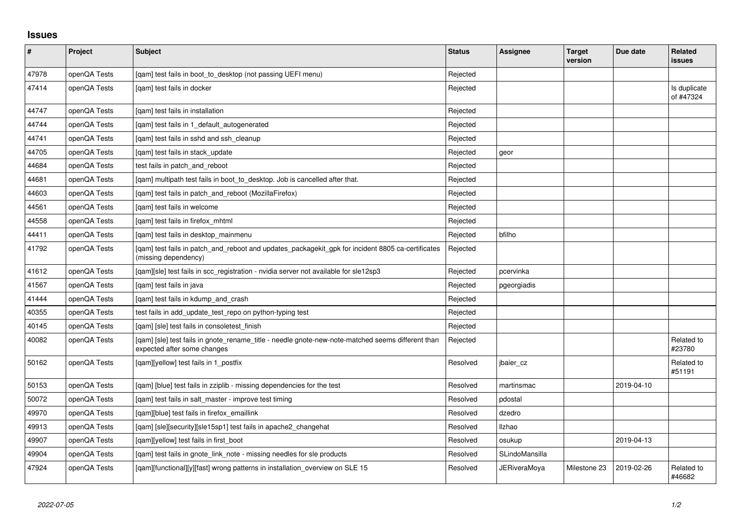## **Issues**

| $\vert$ # | Project      | Subject                                                                                                                          | <b>Status</b> | <b>Assignee</b>     | <b>Target</b><br>version | Due date   | Related<br><b>issues</b>  |
|-----------|--------------|----------------------------------------------------------------------------------------------------------------------------------|---------------|---------------------|--------------------------|------------|---------------------------|
| 47978     | openQA Tests | [qam] test fails in boot_to_desktop (not passing UEFI menu)                                                                      | Rejected      |                     |                          |            |                           |
| 47414     | openQA Tests | [gam] test fails in docker                                                                                                       | Rejected      |                     |                          |            | Is duplicate<br>of #47324 |
| 44747     | openQA Tests | [gam] test fails in installation                                                                                                 | Rejected      |                     |                          |            |                           |
| 44744     | openQA Tests | [gam] test fails in 1 default autogenerated                                                                                      | Rejected      |                     |                          |            |                           |
| 44741     | openQA Tests | [gam] test fails in sshd and ssh cleanup                                                                                         | Rejected      |                     |                          |            |                           |
| 44705     | openQA Tests | [gam] test fails in stack update                                                                                                 | Rejected      | geor                |                          |            |                           |
| 44684     | openQA Tests | test fails in patch and reboot                                                                                                   | Rejected      |                     |                          |            |                           |
| 44681     | openQA Tests | [gam] multipath test fails in boot to desktop. Job is cancelled after that.                                                      | Rejected      |                     |                          |            |                           |
| 44603     | openQA Tests | [qam] test fails in patch_and_reboot (MozillaFirefox)                                                                            | Rejected      |                     |                          |            |                           |
| 44561     | openQA Tests | [gam] test fails in welcome                                                                                                      | Rejected      |                     |                          |            |                           |
| 44558     | openQA Tests | [gam] test fails in firefox mhtml                                                                                                | Rejected      |                     |                          |            |                           |
| 44411     | openQA Tests | [gam] test fails in desktop mainmenu                                                                                             | Rejected      | bfilho              |                          |            |                           |
| 41792     | openQA Tests | [qam] test fails in patch_and_reboot and updates_packagekit_gpk for incident 8805 ca-certificates<br>(missing dependency)        | Rejected      |                     |                          |            |                           |
| 41612     | openQA Tests | [qam][sle] test fails in scc_registration - nvidia server not available for sle12sp3                                             | Rejected      | pcervinka           |                          |            |                           |
| 41567     | openQA Tests | [qam] test fails in java                                                                                                         | Rejected      | pgeorgiadis         |                          |            |                           |
| 41444     | openQA Tests | [qam] test fails in kdump_and_crash                                                                                              | Rejected      |                     |                          |            |                           |
| 40355     | openQA Tests | test fails in add_update_test_repo on python-typing test                                                                         | Rejected      |                     |                          |            |                           |
| 40145     | openQA Tests | [gam] [sle] test fails in consoletest finish                                                                                     | Rejected      |                     |                          |            |                           |
| 40082     | openQA Tests | [qam] [sle] test fails in gnote_rename_title - needle gnote-new-note-matched seems different than<br>expected after some changes | Rejected      |                     |                          |            | Related to<br>#23780      |
| 50162     | openQA Tests | [gam][yellow] test fails in 1 postfix                                                                                            | Resolved      | jbaier cz           |                          |            | Related to<br>#51191      |
| 50153     | openQA Tests | [gam] [blue] test fails in zziplib - missing dependencies for the test                                                           | Resolved      | martinsmac          |                          | 2019-04-10 |                           |
| 50072     | openQA Tests | [qam] test fails in salt_master - improve test timing                                                                            | Resolved      | pdostal             |                          |            |                           |
| 49970     | openQA Tests | [qam][blue] test fails in firefox_emaillink                                                                                      | Resolved      | dzedro              |                          |            |                           |
| 49913     | openQA Tests | [qam] [sle][security][sle15sp1] test fails in apache2_changehat                                                                  | Resolved      | <b>Ilzhao</b>       |                          |            |                           |
| 49907     | openQA Tests | [qam][yellow] test fails in first_boot                                                                                           | Resolved      | osukup              |                          | 2019-04-13 |                           |
| 49904     | openQA Tests | [gam] test fails in gnote link note - missing needles for sle products                                                           | Resolved      | SLindoMansilla      |                          |            |                           |
| 47924     | openQA Tests | [qam][functional][y][fast] wrong patterns in installation_overview on SLE 15                                                     | Resolved      | <b>JERiveraMoya</b> | Milestone 23             | 2019-02-26 | Related to<br>#46682      |